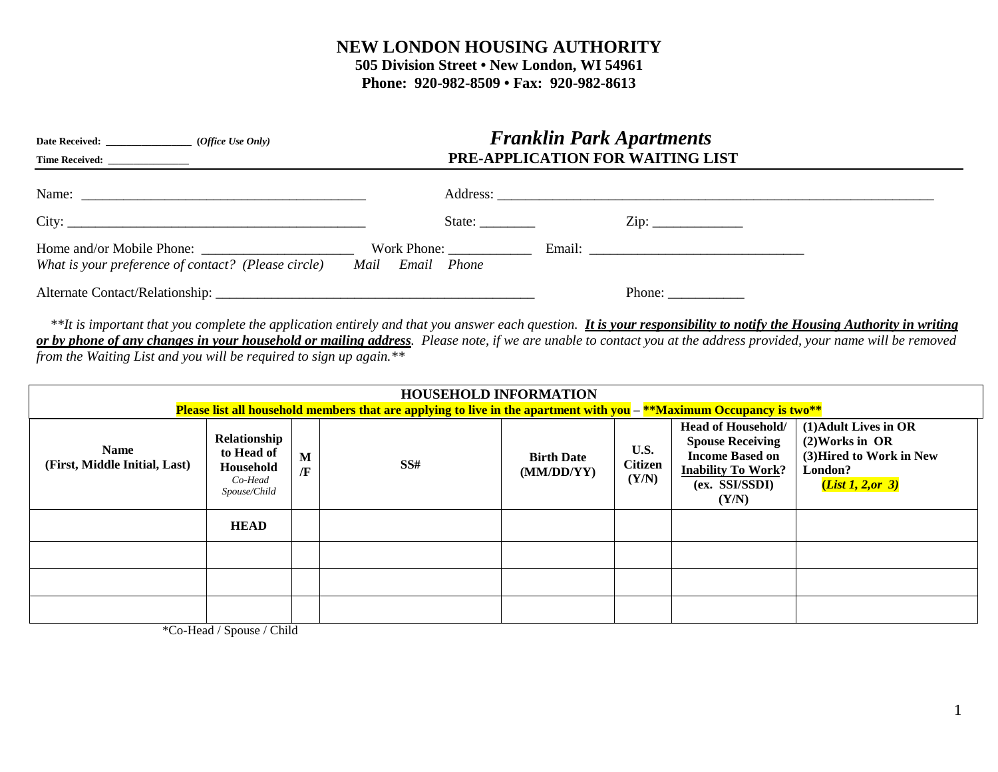## **NEW LONDON HOUSING AUTHORITY**

**505 Division Street • New London, WI 54961 Phone: 920-982-8509 • Fax: 920-982-8613**

|                                                     | <b>Franklin Park Apartments</b><br>PRE-APPLICATION FOR WAITING LIST |                                                           |  |
|-----------------------------------------------------|---------------------------------------------------------------------|-----------------------------------------------------------|--|
|                                                     |                                                                     |                                                           |  |
|                                                     | State:                                                              |                                                           |  |
| What is your preference of contact? (Please circle) | Mail Email Phone                                                    |                                                           |  |
|                                                     |                                                                     | Phone: $\frac{1}{\sqrt{1-\frac{1}{2}} \cdot \frac{1}{2}}$ |  |

\*\*It is important that you complete the application entirely and that you answer each question. **It is your responsibility to notify the Housing Authority in writing** *or by phone of any changes in your household or mailing address. Please note, if we are unable to contact you at the address provided, your name will be removed from the Waiting List and you will be required to sign up again.\*\**

| <b>HOUSEHOLD INFORMATION</b><br>Please list all household members that are applying to live in the apartment with you $-$ **Maximum Occupancy is two** |                                                                    |        |     |                                 |                                 |                                                                                                                                        |                                                                                                        |
|--------------------------------------------------------------------------------------------------------------------------------------------------------|--------------------------------------------------------------------|--------|-----|---------------------------------|---------------------------------|----------------------------------------------------------------------------------------------------------------------------------------|--------------------------------------------------------------------------------------------------------|
| <b>Name</b><br>(First, Middle Initial, Last)                                                                                                           | Relationship<br>to Head of<br>Household<br>Co-Head<br>Spouse/Child | M<br>Æ | SS# | <b>Birth Date</b><br>(MM/DD/YY) | U.S.<br><b>Citizen</b><br>(Y/N) | <b>Head of Household/</b><br><b>Spouse Receiving</b><br><b>Income Based on</b><br><b>Inability To Work?</b><br>(ex. SSI/SSDI)<br>(Y/N) | (1) Adult Lives in OR<br>$(2)$ Works in OR<br>(3) Hired to Work in New<br>London?<br>(List 1, 2, or 3) |
|                                                                                                                                                        | <b>HEAD</b>                                                        |        |     |                                 |                                 |                                                                                                                                        |                                                                                                        |
|                                                                                                                                                        |                                                                    |        |     |                                 |                                 |                                                                                                                                        |                                                                                                        |
|                                                                                                                                                        |                                                                    |        |     |                                 |                                 |                                                                                                                                        |                                                                                                        |
|                                                                                                                                                        |                                                                    |        |     |                                 |                                 |                                                                                                                                        |                                                                                                        |

\*Co-Head / Spouse / Child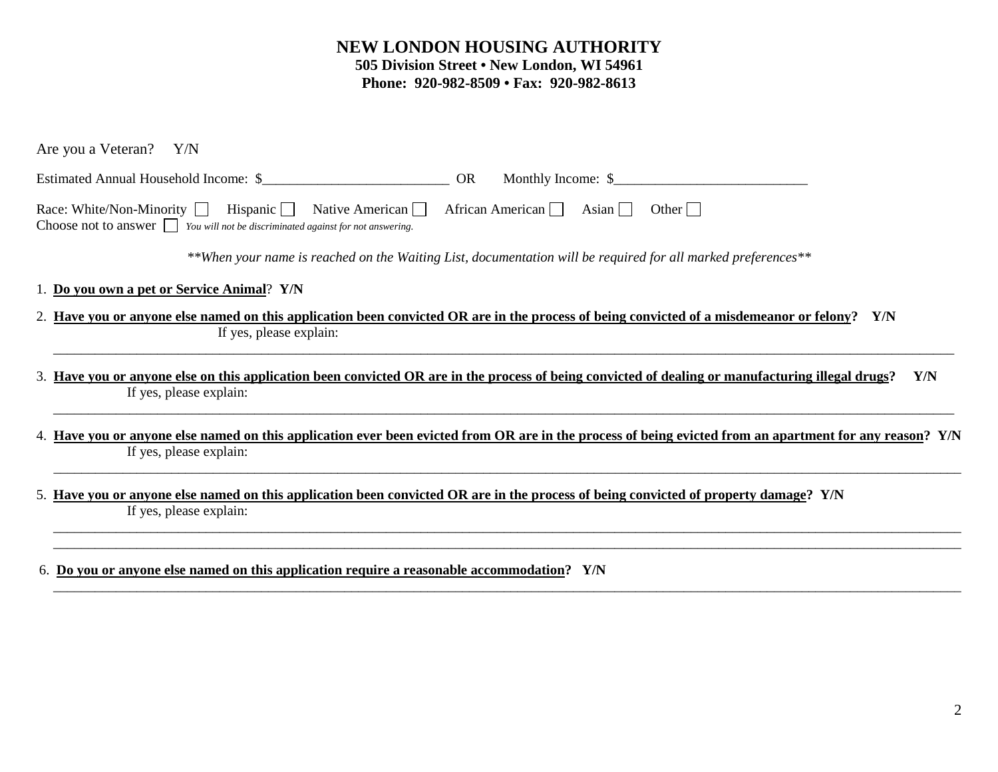## **NEW LONDON HOUSING AUTHORITY 505 Division Street • New London, WI 54961 Phone: 920-982-8509 • Fax: 920-982-8613**

| Are you a Veteran?<br>Y/N                                                                                                                                                                                 |
|-----------------------------------------------------------------------------------------------------------------------------------------------------------------------------------------------------------|
| Estimated Annual Household Income: \$<br><b>OR</b><br>Monthly Income: \$                                                                                                                                  |
| Hispanic $\Box$<br>Race: White/Non-Minority<br>Native American<br>African American<br>Asian    <br>Other $  \;  $<br>Choose not to answer $\Box$ You will not be discriminated against for not answering. |
| **When your name is reached on the Waiting List, documentation will be required for all marked preferences**                                                                                              |
| 1. Do you own a pet or Service Animal? Y/N                                                                                                                                                                |
| 2. Have you or anyone else named on this application been convicted OR are in the process of being convicted of a misdemeanor or felony? Y/N<br>If yes, please explain:                                   |
| 3. Have you or anyone else on this application been convicted OR are in the process of being convicted of dealing or manufacturing illegal drugs?<br>Y/N<br>If yes, please explain:                       |
| 4. Have you or anyone else named on this application ever been evicted from OR are in the process of being evicted from an apartment for any reason? Y/N<br>If yes, please explain:                       |
| 5. Have you or anyone else named on this application been convicted OR are in the process of being convicted of property damage? Y/N<br>If yes, please explain:                                           |
|                                                                                                                                                                                                           |

\_\_\_\_\_\_\_\_\_\_\_\_\_\_\_\_\_\_\_\_\_\_\_\_\_\_\_\_\_\_\_\_\_\_\_\_\_\_\_\_\_\_\_\_\_\_\_\_\_\_\_\_\_\_\_\_\_\_\_\_\_\_\_\_\_\_\_\_\_\_\_\_\_\_\_\_\_\_\_\_\_\_\_\_\_\_\_\_\_\_\_\_\_\_\_\_\_\_\_\_\_\_\_\_\_\_\_\_\_\_\_\_\_\_\_\_\_\_\_\_\_\_\_\_\_\_\_\_\_\_\_

6. **Do you or anyone else named on this application require a reasonable accommodation?****Y/N**